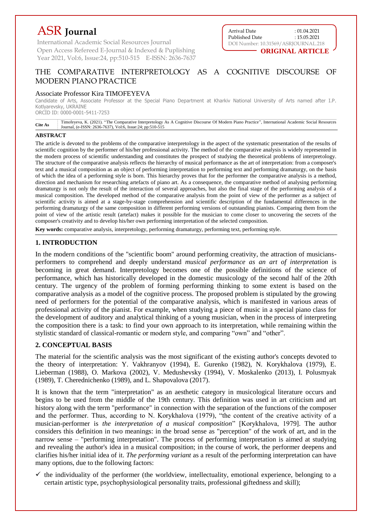# ASR **Journal**

International Academic Social Resources Journal Open Access Refereed E-Journal & Indexed & Puplishing Year 2021, Vol:6, Issue:24, pp:510-515 E-ISSN: 2636-7637



## THE COMPARATIVE INTERPRETOLOGY AS A COGNITIVE DISCOURSE OF MODERN PIANO PRACTICE

## Associate Professor Kira TIMOFEYEVA

Candidate of Arts, Associate Professor at the Special Piano Department at Kharkiv National University of Arts named after I.P. Kotlyarevsky, UKRAINE

ORCİD ID: 0000-0001-5411-7253

**Cite As** Timofeyeva, K. (2021). "The Comparative Interpretology As A Cognitive Discourse Of Modern Piano Practice", International Academic Social Resources Journal, (e-ISSN: 2636-7637), Vol:6, Issue:24; pp:510-515

#### **ABSTRACT**

The article is devoted to the problems of the comparative interpretology in the aspect of the systematic presentation of the results of scientific cognition by the performer of his/her professional activity. The method of the comparative analysis is widely represented in the modern process of scientific understanding and constitutes the prospect of studying the theoretical problems of interpretology. The structure of the comparative analysis reflects the hierarchy of musical performance as the art of interpretation: from a composer's text and a musical composition as an object of performing interpretation to performing text and performing dramaturgy, on the basis of which the idea of a performing style is born. This hierarchy proves that for the performer the comparative analysis is a method, direction and mechanism for researching artefacts of piano art. As a consequence, the comparative method of analysing performing dramaturgy is not only the result of the interaction of several approaches, but also the final stage of the performing analysis of a musical composition. The developed method of the comparative analysis from the point of view of the performer as a subject of scientific activity is aimed at a stage-by-stage comprehension and scientific description of the fundamental differences in the performing dramaturgy of the same composition in different performing versions of outstanding pianists. Comparing them from the point of view of the artistic result (artefact) makes it possible for the musician to come closer to uncovering the secrets of the composer's creativity and to develop his/her own performing interpretation of the selected composition.

**Key words:** comparative analysis, interpretology, performing dramaturgy, performing text, performing style.

## **1. INTRODUCTION**

In the modern conditions of the "scientific boom" around performing creativity, the attraction of musiciansperformers to comprehend and deeply understand *musical performance as an art of interpretation* is becoming in great demand. Interpretology becomes one of the possible definitions of the science of performance, which has historically developed in the domestic musicology of the second half of the 20th century. The urgency of the problem of forming performing thinking to some extent is based on the comparative analysis as a model of the cognitive process. The proposed problem is stipulated by the growing need of performers for the potential of the comparative analysis, which is manifested in various areas of professional activity of the pianist. For example, when studying a piece of music in a special piano class for the development of auditory and analytical thinking of a young musician, when in the process of interpreting the composition there is a task: to find your own approach to its interpretation, while remaining within the stylistic standard of classical-romantic or modern style, and comparing "own" and "other".

## **2. CONCEPTUAL BASIS**

The material for the scientific analysis was the most significant of the existing author's concepts devoted to the theory of interpretation: Y. Vakhranyov (1994), E. Gurenko (1982), N. Korykhalova (1979), E. Lieberman (1988), O. Markova (2002), V. Medushevsky (1994), V. Moskalenko (2013), I. Polusmyak (1989), T. Cherednichenko (1989), and L. Shapovalova (2017).

It is known that the term "interpretation" as an aesthetic category in musicological literature occurs and begins to be used from the middle of the 19th century. This definition was used in art criticism and art history along with the term "performance" in connection with the separation of the functions of the composer and the performer. Thus, according to N. Korykhalova (1979), "the content of the creative activity of a musician-performer is *the interpretation of a musical composition*" [Korykhalova, 1979]. The author considers this definition in two meanings: in the broad sense as "perception" of the work of art, and in the narrow sense – "performing interpretation". The process of performing interpretation is aimed at studying and revealing the author's idea in a musical composition; in the course of work, the performer deepens and clarifies his/her initial idea of it. *The performing variant* as a result of the performing interpretation can have many options, due to the following factors:

 $\checkmark$  the individuality of the performer (the worldview, intellectuality, emotional experience, belonging to a certain artistic type, psychophysiological personality traits, professional giftedness and skill);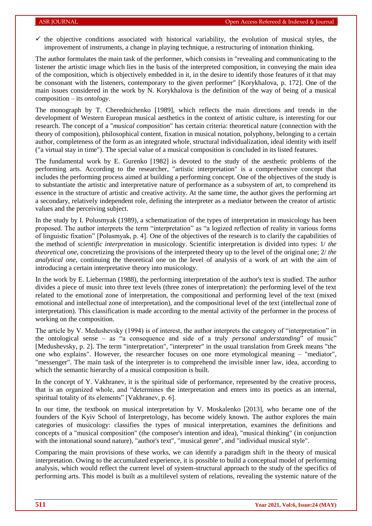$\checkmark$  the objective conditions associated with historical variability, the evolution of musical styles, the improvement of instruments, a change in playing technique, a restructuring of intonation thinking.

The author formulates the main task of the performer, which consists in "revealing and communicating to the listener the artistic image which lies in the basis of the interpreted composition, in conveying the main idea of the composition, which is objectively embedded in it, in the desire to identify those features of it that may be consonant with the listeners, contemporary to the given performer" [Korykhalova, p. 172]. One of the main issues considered in the work by N. Korykhalova is the definition of the way of being of a musical composition – its *ontology*.

The monograph by T. Cherednichenko [1989], which reflects the main directions and trends in the development of Western European musical aesthetics in the context of artistic culture, is interesting for our research. The concept of a "*musical composition*" has certain criteria: theoretical nature (connection with the theory of composition), philosophical content, fixation in musical notation, polyphony, belonging to a certain author, completeness of the form as an integrated whole, structural individualization, ideal identity with itself ("a virtual stay in time"). The special value of a musical composition is concluded in its listed features.

The fundamental work by E. Gurenko [1982] is devoted to the study of the aesthetic problems of the performing arts. According to the researcher, "artistic interpretation" is a comprehensive concept that includes the performing process aimed at building a performing concept. One of the objectives of the study is to substantiate the artistic and interpretative nature of performance as a subsystem of art, to comprehend its essence in the structure of artistic and creative activity. At the same time, the author gives the performing art a secondary, relatively independent role, defining the interpreter as a mediator between the creator of artistic values and the perceiving subject.

In the study by I. Polusmyak (1989), a schematization of the types of interpretation in musicology has been proposed. The author interprets the term "interpretation" as "a logized reflection of reality in various forms of linguistic fixation" [Polusmyak, p. 4]. One of the objectives of the research is to clarify the capabilities of the method of *scientific interpretation* in musicology. Scientific interpretation is divided into types: 1/ *the theoretical one*, concretizing the provisions of the interpreted theory up to the level of the original one; 2/ *the analytical one*, continuing the theoretical one on the level of analysis of a work of art with the aim of introducing a certain interpretative theory into musicology.

In the work by E. Lieberman (1988), the performing interpretation of the author's text is studied. The author divides a piece of music into three text levels (three zones of interpretation): the performing level of the text related to the emotional zone of interpretation, the compositional and performing level of the text (mixed emotional and intellectual zone of interpretation), and the compositional level of the text (intellectual zone of interpretation). This classification is made according to the mental activity of the performer in the process of working on the composition.

The article by V. Medushevsky (1994) is of interest, the author interprets the category of "interpretation" in the ontological sense – as "a consequence and side of a truly *personal understanding*" of music" [Medushevsky, p. 2]. The term "interpretation", "interpreter" in the usual translation from Greek means "the one who explains". However, the researcher focuses on one more etymological meaning – "mediator", "messenger". The main task of the interpreter is to comprehend the invisible inner law, idea, according to which the semantic hierarchy of a musical composition is built.

In the concept of Y. Vakhranev, it is the spiritual side of performance, represented by the creative process, that is an organized whole, and "determines the interpretation and enters into its poetics as an internal, spiritual totality of its elements" [Vakhranev, p. 6].

In our time, the textbook on musical interpretation by V. Moskalenko [2013], who became one of the founders of the Kyiv School of Interpretology, has become widely known. The author explores the main categories of musicology: classifies the types of musical interpretation, examines the definitions and concepts of a "musical composition" (the composer's intention and idea), "musical thinking" (in conjunction with the intonational sound nature), "author's text", "musical genre", and "individual musical style".

Comparing the main provisions of these works, we can identify a paradigm shift in the theory of musical interpretation. Owing to the accumulated experience, it is possible to build a conceptual model of performing analysis, which would reflect the current level of system-structural approach to the study of the specifics of performing arts. This model is built as a multilevel system of relations, revealing the systemic nature of the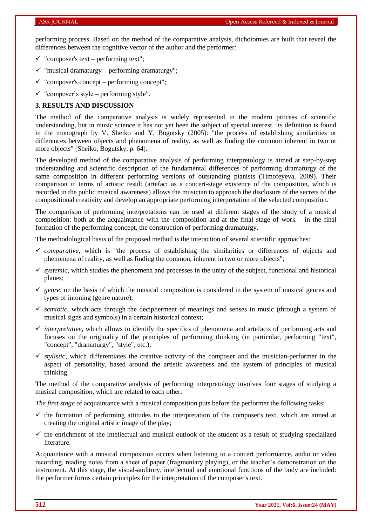performing process. Based on the method of the comparative analysis, dichotomies are built that reveal the differences between the cognitive vector of the author and the performer:

- $\checkmark$  "composer's text performing text";
- $\checkmark$  "musical dramaturgy performing dramaturgy";
- $\checkmark$  "composer's concept performing concept";
- $\checkmark$  "composer's style performing style".

### **3. RESULTS AND DISCUSSION**

The method of the comparative analysis is widely represented in the modern process of scientific understanding, but in music science it has not yet been the subject of special interest. Its definition is found in the monograph by V. Sheiko and Y. Bogutsky (2005): "the process of establishing similarities or differences between objects and phenomena of reality, as well as finding the common inherent in two or more objects" [Sheiko, Bogutsky, p. 64].

The developed method of the comparative analysis of performing interpretology is aimed at step-by-step understanding and scientific description of the fundamental differences of performing dramaturgy of the same composition in different performing versions of outstanding pianists (Timofeyeva, 2009). Their comparison in terms of artistic result (artefact as a concert-stage existence of the composition, which is recorded in the public musical awareness) allows the musician to approach the disclosure of the secrets of the compositional creativity and develop an appropriate performing interpretation of the selected composition.

The comparison of performing interpretations can be used at different stages of the study of a musical composition: both at the acquaintance with the composition and at the final stage of work – in the final formation of the performing concept, the construction of performing dramaturgy.

The methodological basis of the proposed method is the interaction of several scientific approaches:

- *comparative*, which is "the process of establishing the similarities or differences of objects and phenomena of reality, as well as finding the common, inherent in two or more objects";
- $\checkmark$  systemic, which studies the phenomena and processes in the unity of the subject, functional and historical planes;
- $\checkmark$  genre, on the basis of which the musical composition is considered in the system of musical genres and types of intoning (genre nature);
- $\checkmark$  semiotic, which acts through the decipherment of meanings and senses in music (through a system of musical signs and symbols) in a certain historical context;
- $\checkmark$  *interpretative*, which allows to identify the specifics of phenomena and artefacts of performing arts and focuses on the originality of the principles of performing thinking (in particular, performing "text", "concept", "dramaturgy", "style", etc.);
- $\checkmark$  stylistic, which differentiates the creative activity of the composer and the musician-performer in the aspect of personality, based around the artistic awareness and the system of principles of musical thinking.

The method of the comparative analysis of performing interpretology involves four stages of studying a musical composition, which are related to each other.

*The first stage* of acquaintance with a musical composition puts before the performer the following tasks:

- $\checkmark$  the formation of performing attitudes to the interpretation of the composer's text, which are aimed at creating the original artistic image of the play;
- $\checkmark$  the enrichment of the intellectual and musical outlook of the student as a result of studying specialized literature.

Acquaintance with a musical composition occurs when listening to a concert performance, audio or video recording, reading notes from a sheet of paper (fragmentary playing), or the teacher's demonstration on the instrument. At this stage, the visual-auditory, intellectual and emotional functions of the body are included: the performer forms certain principles for the interpretation of the composer's text.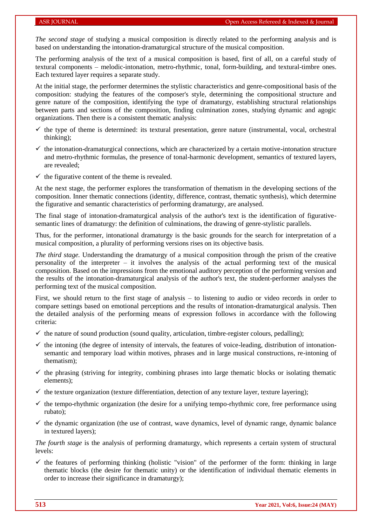*The second stage* of studying a musical composition is directly related to the performing analysis and is based on understanding the intonation-dramaturgical structure of the musical composition.

The performing analysis of the text of a musical composition is based, first of all, on a careful study of textural components – melodic-intonation, metro-rhythmic, tonal, form-building, and textural-timbre ones. Each textured layer requires a separate study.

At the initial stage, the performer determines the stylistic characteristics and genre-compositional basis of the composition: studying the features of the composer's style, determining the compositional structure and genre nature of the composition, identifying the type of dramaturgy, establishing structural relationships between parts and sections of the composition, finding culmination zones, studying dynamic and agogic organizations. Then there is a consistent thematic analysis:

- $\checkmark$  the type of theme is determined: its textural presentation, genre nature (instrumental, vocal, orchestral thinking);
- $\checkmark$  the intonation-dramaturgical connections, which are characterized by a certain motive-intonation structure and metro-rhythmic formulas, the presence of tonal-harmonic development, semantics of textured layers, are revealed;
- $\checkmark$  the figurative content of the theme is revealed.

At the next stage, the performer explores the transformation of thematism in the developing sections of the composition. Inner thematic connections (identity, difference, contrast, thematic synthesis), which determine the figurative and semantic characteristics of performing dramaturgy, are analysed.

The final stage of intonation-dramaturgical analysis of the author's text is the identification of figurativesemantic lines of dramaturgy: the definition of culminations, the drawing of genre-stylistic parallels.

Thus, for the performer, intonational dramaturgy is the basic grounds for the search for interpretation of a musical composition, a plurality of performing versions rises on its objective basis.

*The third stage.* Understanding the dramaturgy of a musical composition through the prism of the creative personality of the interpreter – it involves the analysis of the actual performing text of the musical composition. Based on the impressions from the emotional auditory perception of the performing version and the results of the intonation-dramaturgical analysis of the author's text, the student-performer analyses the performing text of the musical composition.

First, we should return to the first stage of analysis – to listening to audio or video records in order to compare settings based on emotional perceptions and the results of intonation-dramaturgical analysis. Then the detailed analysis of the performing means of expression follows in accordance with the following criteria:

- $\checkmark$  the nature of sound production (sound quality, articulation, timbre-register colours, pedalling);
- $\checkmark$  the intoning (the degree of intensity of intervals, the features of voice-leading, distribution of intonationsemantic and temporary load within motives, phrases and in large musical constructions, re-intoning of thematism);
- $\checkmark$  the phrasing (striving for integrity, combining phrases into large thematic blocks or isolating thematic elements);
- $\checkmark$  the texture organization (texture differentiation, detection of any texture layer, texture layering);
- $\checkmark$  the tempo-rhythmic organization (the desire for a unifying tempo-rhythmic core, free performance using rubato);
- $\checkmark$  the dynamic organization (the use of contrast, wave dynamics, level of dynamic range, dynamic balance in textured layers);

*The fourth stage* is the analysis of performing dramaturgy, which represents a certain system of structural levels:

 $\checkmark$  the features of performing thinking (holistic "vision" of the performer of the form: thinking in large thematic blocks (the desire for thematic unity) or the identification of individual thematic elements in order to increase their significance in dramaturgy);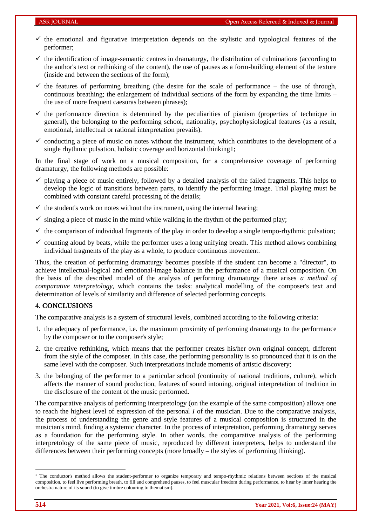- $\checkmark$  the emotional and figurative interpretation depends on the stylistic and typological features of the performer;
- $\checkmark$  the identification of image-semantic centres in dramaturgy, the distribution of culminations (according to the author's text or rethinking of the content), the use of pauses as a form-building element of the texture (inside and between the sections of the form);
- $\checkmark$  the features of performing breathing (the desire for the scale of performance the use of through, continuous breathing; the enlargement of individual sections of the form by expanding the time limits – the use of more frequent caesuras between phrases);
- $\checkmark$  the performance direction is determined by the peculiarities of pianism (properties of technique in general), the belonging to the performing school, nationality, psychophysiological features (as a result, emotional, intellectual or rational interpretation prevails).
- $\checkmark$  conducting a piece of music on notes without the instrument, which contributes to the development of a single rhythmic pulsation, holistic coverage and horizontal thinking1;

In the final stage of work on a musical composition, for a comprehensive coverage of performing dramaturgy, the following methods are possible:

- $\checkmark$  playing a piece of music entirely, followed by a detailed analysis of the failed fragments. This helps to develop the logic of transitions between parts, to identify the performing image. Trial playing must be combined with constant careful processing of the details;
- $\checkmark$  the student's work on notes without the instrument, using the internal hearing;
- $\checkmark$  singing a piece of music in the mind while walking in the rhythm of the performed play;
- $\checkmark$  the comparison of individual fragments of the play in order to develop a single tempo-rhythmic pulsation;
- $\checkmark$  counting aloud by beats, while the performer uses a long unifying breath. This method allows combining individual fragments of the play as a whole, to produce continuous movement.

Thus, the creation of performing dramaturgy becomes possible if the student can become a "director", to achieve intellectual-logical and emotional-image balance in the performance of a musical composition. On the basis of the described model of the analysis of performing dramaturgy there arises *a method of comparative interpretology,* which contains the tasks: analytical modelling of the composer's text and determination of levels of similarity and difference of selected performing concepts.

#### **4. CONCLUSIONS**

The comparative analysis is a system of structural levels, combined according to the following criteria:

- 1. the adequacy of performance, i.e. the maximum proximity of performing dramaturgy to the performance by the composer or to the composer's style;
- 2. the creative rethinking, which means that the performer creates his/her own original concept, different from the style of the composer. In this case, the performing personality is so pronounced that it is on the same level with the composer. Such interpretations include moments of artistic discovery;
- 3. the belonging of the performer to a particular school (continuity of national traditions, culture), which affects the manner of sound production, features of sound intoning, original interpretation of tradition in the disclosure of the content of the music performed.

The comparative analysis of performing interpretology (on the example of the same composition) allows one to reach the highest level of expression of the personal *I* of the musician. Due to the comparative analysis, the process of understanding the genre and style features of a musical composition is structured in the musician's mind, finding a systemic character. In the process of interpretation, performing dramaturgy serves as a foundation for the performing style. In other words, the comparative analysis of the performing interpretology of the same piece of music, reproduced by different interpreters, helps to understand the differences between their performing concepts (more broadly – the styles of performing thinking).

1

<sup>&</sup>lt;sup>1</sup> The conductor's method allows the student-performer to organize temporary and tempo-rhythmic relations between sections of the musical composition, to feel live performing breath, to fill and comprehend pauses, to feel muscular freedom during performance, to hear by inner hearing the orchestra nature of its sound (to give timbre colouring to thematism).